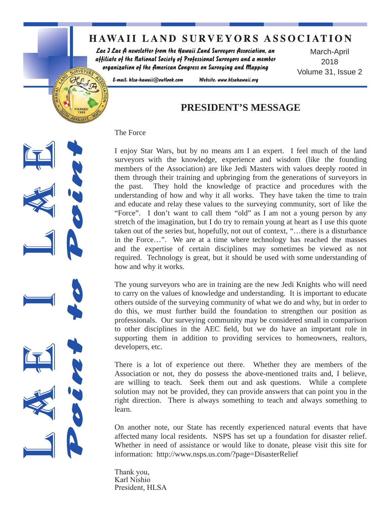# **HAWAII LAND SURVEYORS ASSOCIATION**

Website: www.hlsahawaii.org

Lae J Lae A newsletter from the Hawaii Land Surveyors Association, an affiliate of the National Society of Professional Surveyors and a member organization of the American Congress on Surveying and Mapping

March-April 2018 Volume 31, Issue 2

URVEYOR E-mail: hlsa-hawaii@outlook.com

# **PRESIDENT'S MESSAGE**

#### The Force

I enjoy Star Wars, but by no means am I an expert. I feel much of the land surveyors with the knowledge, experience and wisdom (like the founding members of the Association) are like Jedi Masters with values deeply rooted in them through their training and upbringing from the generations of surveyors in the past. They hold the knowledge of practice and procedures with the understanding of how and why it all works. They have taken the time to train and educate and relay these values to the surveying community, sort of like the "Force". I don't want to call them "old" as I am not a young person by any stretch of the imagination, but I do try to remain young at heart as I use this quote taken out of the series but, hopefully, not out of context, "…there is a disturbance in the Force…". We are at a time where technology has reached the masses and the expertise of certain disciplines may sometimes be viewed as not required. Technology is great, but it should be used with some understanding of how and why it works.

The young surveyors who are in training are the new Jedi Knights who will need to carry on the values of knowledge and understanding. It is important to educate others outside of the surveying community of what we do and why, but in order to do this, we must further build the foundation to strengthen our position as professionals. Our surveying community may be considered small in comparison to other disciplines in the AEC field, but we do have an important role in supporting them in addition to providing services to homeowners, realtors, developers, etc.

There is a lot of experience out there. Whether they are members of the Association or not, they do possess the above-mentioned traits and, I believe, are willing to teach. Seek them out and ask questions. While a complete solution may not be provided, they can provide answers that can point you in the right direction. There is always something to teach and always something to learn.

On another note, our State has recently experienced natural events that have affected many local residents. NSPS has set up a foundation for disaster relief. Whether in need of assistance or would like to donate, please visit this site for information: http://www.nsps.us.com/?page=DisasterRelief

Thank you, Karl Nishio President, HLSA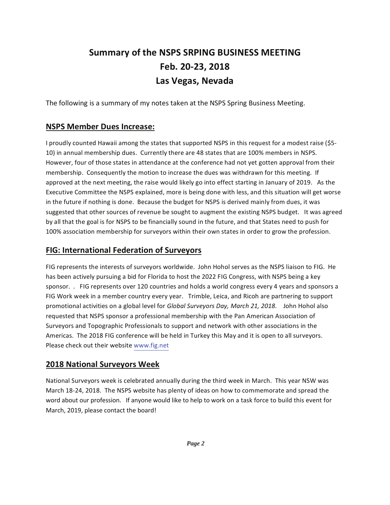# Summary of the NSPS SRPING BUSINESS MEETING Feb. 20-23, 2018 Las Vegas, Nevada

The following is a summary of my notes taken at the NSPS Spring Business Meeting.

#### **NSPS Member Dues Increase:**

I proudly counted Hawaii among the states that supported NSPS in this request for a modest raise (\$5-10) in annual membership dues. Currently there are 48 states that are 100% members in NSPS. However, four of those states in attendance at the conference had not yet gotten approval from their membership. Consequently the motion to increase the dues was withdrawn for this meeting. If approved at the next meeting, the raise would likely go into effect starting in January of 2019. As the Executive Committee the NSPS explained, more is being done with less, and this situation will get worse in the future if nothing is done. Because the budget for NSPS is derived mainly from dues, it was suggested that other sources of revenue be sought to augment the existing NSPS budget. It was agreed by all that the goal is for NSPS to be financially sound in the future, and that States need to push for 100% association membership for surveyors within their own states in order to grow the profession.

## **FIG: International Federation of Surveyors**

FIG represents the interests of surveyors worldwide. John Hohol serves as the NSPS liaison to FIG. He has been actively pursuing a bid for Florida to host the 2022 FIG Congress, with NSPS being a key sponsor. . FIG represents over 120 countries and holds a world congress every 4 years and sponsors a FIG Work week in a member country every year. Trimble, Leica, and Ricoh are partnering to support promotional activities on a global level for Global Surveyors Day, March 21, 2018. John Hohol also requested that NSPS sponsor a professional membership with the Pan American Association of Surveyors and Topographic Professionals to support and network with other associations in the Americas. The 2018 FIG conference will be held in Turkey this May and it is open to all surveyors. Please check out their website www.fig.net

### **2018 National Surveyors Week**

National Surveyors week is celebrated annually during the third week in March. This year NSW was March 18-24, 2018. The NSPS website has plenty of ideas on how to commemorate and spread the word about our profession. If anyone would like to help to work on a task force to build this event for March, 2019, please contact the board!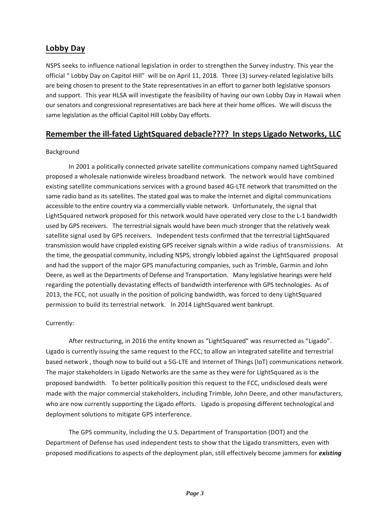## Lobby Day

NSPS seeks to influence national legislation in order to strengthen the Survey industry. This year the official "Lobby Day on Capitol Hill" will be on April 11, 2018. Three (3) survey-related legislative bills are being chosen to present to the State representatives in an effort to garner both legislative sponsors and support. This year HLSA will investigate the feasibility of having our own Lobby Day in Hawaii when our senators and congressional representatives are back here at their home offices. We will discuss the same legislation as the official Capitol Hill Lobby Day efforts.

### Remember the ill-fated LightSquared debacle???? In steps Ligado Networks, LLC

#### Background

In 2001 a politically connected private satellite communications company named LightSquared proposed a wholesale nationwide wireless broadband network. The network would have combined existing satellite communications services with a ground based 4G-LTE network that transmitted on the same radio band as its satellites. The stated goal was to make the internet and digital communications accessible to the entire country via a commercially viable network. Unfortunately, the signal that LightSquared network proposed for this network would have operated very close to the L-1 bandwidth used by GPS receivers. The terrestrial signals would have been much stronger that the relatively weak satellite signal used by GPS receivers. Independent tests confirmed that the terrestrial LightSquared transmission would have crippled existing GPS receiver signals within a wide radius of transmissions. At the time, the geospatial community, including NSPS, strongly lobbied against the LightSquared proposal and had the support of the major GPS manufacturing companies, such as Trimble, Garmin and John Deere, as well as the Departments of Defense and Transportation. Many legislative hearings were held regarding the potentially devastating effects of bandwidth interference with GPS technologies. As of 2013, the FCC, not usually in the position of policing bandwidth, was forced to deny LightSquared permission to build its terrestrial network. In 2014 LightSquared went bankrupt.

#### Currently:

After restructuring, in 2016 the entity known as "LightSquared" was resurrected as "Ligado". Ligado is currently issuing the same request to the FCC; to allow an integrated satellite and terrestrial based network, though now to build out a 5G-LTE and Internet of Things (IoT) communications network. The major stakeholders in Ligado Networks are the same as they were for LightSquared as is the proposed bandwidth. To better politically position this request to the FCC, undisclosed deals were made with the major commercial stakeholders, including Trimble, John Deere, and other manufacturers, who are now currently supporting the Ligado efforts. Ligado is proposing different technological and deployment solutions to mitigate GPS interference.

The GPS community, including the U.S. Department of Transportation (DOT) and the Department of Defense has used independent tests to show that the Ligado transmitters, even with proposed modifications to aspects of the deployment plan, still effectively become jammers for *existing*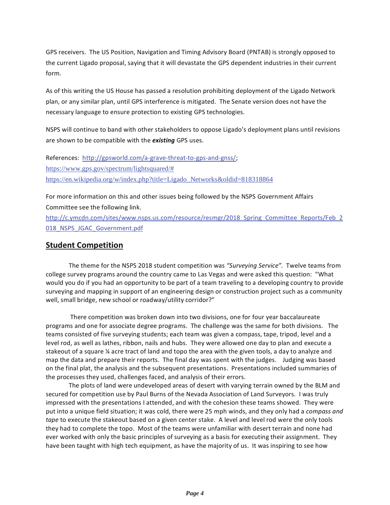GPS receivers. The US Position, Navigation and Timing Advisory Board (PNTAB) is strongly opposed to the current Ligado proposal, saying that it will devastate the GPS dependent industries in their current form.

As of this writing the US House has passed a resolution prohibiting deployment of the Ligado Network plan, or any similar plan, until GPS interference is mitigated. The Senate version does not have the necessary language to ensure protection to existing GPS technologies.

NSPS will continue to band with other stakeholders to oppose Ligado's deployment plans until revisions are shown to be compatible with the existing GPS uses.

References: http://gpsworld.com/a-grave-threat-to-gps-and-gnss/; https://www.gps.gov/spectrum/lightsquared/# https://en.wikipedia.org/w/index.php?title=Ligado\_Networks&oldid=818318864

For more information on this and other issues being followed by the NSPS Government Affairs Committee see the following link.

http://c.ymcdn.com/sites/www.nsps.us.com/resource/resmgr/2018 Spring Committee Reports/Feb 2 018 NSPS JGAC Government.pdf

#### **Student Competition**

The theme for the NSPS 2018 student competition was "Surveying Service". Twelve teams from college survey programs around the country came to Las Vegas and were asked this question: "What would you do if you had an opportunity to be part of a team traveling to a developing country to provide surveying and mapping in support of an engineering design or construction project such as a community well, small bridge, new school or roadway/utility corridor?"

There competition was broken down into two divisions, one for four year baccalaureate programs and one for associate degree programs. The challenge was the same for both divisions. The teams consisted of five surveying students; each team was given a compass, tape, tripod, level and a level rod, as well as lathes, ribbon, nails and hubs. They were allowed one day to plan and execute a stakeout of a square ¼ acre tract of land and topo the area with the given tools, a day to analyze and map the data and prepare their reports. The final day was spent with the judges. Judging was based on the final plat, the analysis and the subsequent presentations. Presentations included summaries of the processes they used, challenges faced, and analysis of their errors.

The plots of land were undeveloped areas of desert with varying terrain owned by the BLM and secured for competition use by Paul Burns of the Nevada Association of Land Surveyors. I was truly impressed with the presentations I attended, and with the cohesion these teams showed. They were put into a unique field situation; it was cold, there were 25 mph winds, and they only had a compass and tape to execute the stakeout based on a given center stake. A level and level rod were the only tools they had to complete the topo. Most of the teams were unfamiliar with desert terrain and none had ever worked with only the basic principles of surveying as a basis for executing their assignment. They have been taught with high tech equipment, as have the majority of us. It was inspiring to see how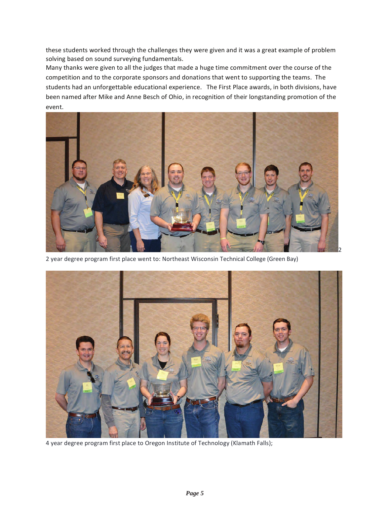these students worked through the challenges they were given and it was a great example of problem solving based on sound surveying fundamentals.

Many thanks were given to all the judges that made a huge time commitment over the course of the competition and to the corporate sponsors and donations that went to supporting the teams. The students had an unforgettable educational experience. The First Place awards, in both divisions, have been named after Mike and Anne Besch of Ohio, in recognition of their longstanding promotion of the event.



2 year degree program first place went to: Northeast Wisconsin Technical College (Green Bay)



4 year degree program first place to Oregon Institute of Technology (Klamath Falls);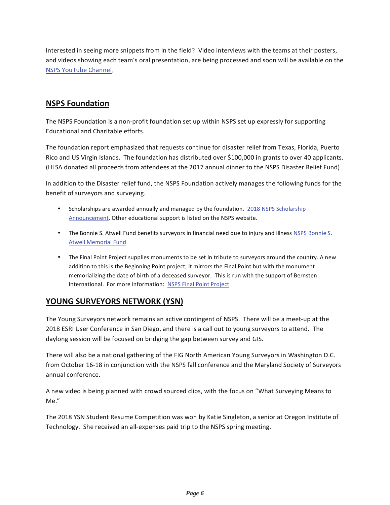Interested in seeing more snippets from in the field? Video interviews with the teams at their posters, and videos showing each team's oral presentation, are being processed and soon will be available on the **NSPS YouTube Channel.** 

## **NSPS Foundation**

The NSPS Foundation is a non-profit foundation set up within NSPS set up expressly for supporting Educational and Charitable efforts.

The foundation report emphasized that requests continue for disaster relief from Texas, Florida, Puerto Rico and US Virgin Islands. The foundation has distributed over \$100,000 in grants to over 40 applicants. (HLSA donated all proceeds from attendees at the 2017 annual dinner to the NSPS Disaster Relief Fund)

In addition to the Disaster relief fund, the NSPS Foundation actively manages the following funds for the benefit of surveyors and surveying.

- Scholarships are awarded annually and managed by the foundation. 2018 NSPS Scholarship Announcement. Other educational support is listed on the NSPS website.
- The Bonnie S. Atwell Fund benefits surveyors in financial need due to injury and illness NSPS Bonnie S. **Atwell Memorial Fund**
- The Final Point Project supplies monuments to be set in tribute to surveyors around the country. A new addition to this is the Beginning Point project; it mirrors the Final Point but with the monument memorializing the date of birth of a deceased surveyor. This is run with the support of Bernsten International. For more information: NSPS Final Point Project

### <u>YOUNG SURVEYORS NETWORK (YSN)</u>

The Young Surveyors network remains an active contingent of NSPS. There will be a meet-up at the 2018 ESRI User Conference in San Diego, and there is a call out to young surveyors to attend. The daylong session will be focused on bridging the gap between survey and GIS.

There will also be a national gathering of the FIG North American Young Surveyors in Washington D.C. from October 16-18 in conjunction with the NSPS fall conference and the Maryland Society of Surveyors annual conference.

A new video is being planned with crowd sourced clips, with the focus on "What Surveying Means to Me."

The 2018 YSN Student Resume Competition was won by Katie Singleton, a senior at Oregon Institute of Technology. She received an all-expenses paid trip to the NSPS spring meeting.